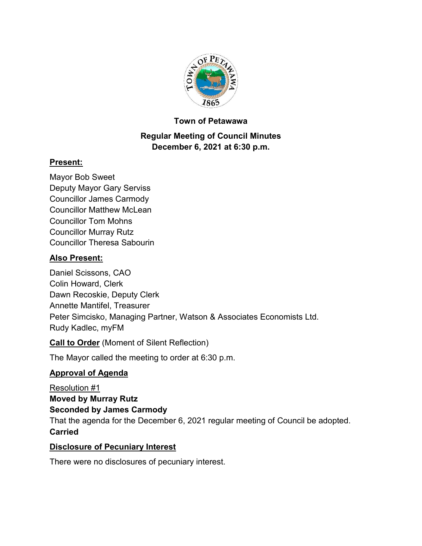

### **Town of Petawawa**

## **Regular Meeting of Council Minutes December 6, 2021 at 6:30 p.m.**

## **Present:**

Mayor Bob Sweet Deputy Mayor Gary Serviss Councillor James Carmody Councillor Matthew McLean Councillor Tom Mohns Councillor Murray Rutz Councillor Theresa Sabourin

# **Also Present:**

Daniel Scissons, CAO Colin Howard, Clerk Dawn Recoskie, Deputy Clerk Annette Mantifel, Treasurer Peter Simcisko, Managing Partner, Watson & Associates Economists Ltd. Rudy Kadlec, myFM

**Call to Order** (Moment of Silent Reflection)

The Mayor called the meeting to order at 6:30 p.m.

## **Approval of Agenda**

Resolution #1 **Moved by Murray Rutz Seconded by James Carmody** That the agenda for the December 6, 2021 regular meeting of Council be adopted. **Carried**

## **Disclosure of Pecuniary Interest**

There were no disclosures of pecuniary interest.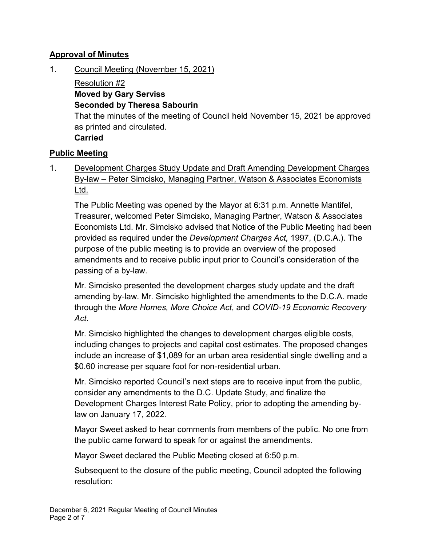### **Approval of Minutes**

1. Council Meeting (November 15, 2021)

Resolution #2 **Moved by Gary Serviss Seconded by Theresa Sabourin** That the minutes of the meeting of Council held November 15, 2021 be approved as printed and circulated. **Carried**

### **Public Meeting**

1. Development Charges Study Update and Draft Amending Development Charges By-law – Peter Simcisko, Managing Partner, Watson & Associates Economists Ltd.

The Public Meeting was opened by the Mayor at 6:31 p.m. Annette Mantifel, Treasurer, welcomed Peter Simcisko, Managing Partner, Watson & Associates Economists Ltd. Mr. Simcisko advised that Notice of the Public Meeting had been provided as required under the *Development Charges Act,* 1997, (D.C.A.). The purpose of the public meeting is to provide an overview of the proposed amendments and to receive public input prior to Council's consideration of the passing of a by-law.

Mr. Simcisko presented the development charges study update and the draft amending by-law. Mr. Simcisko highlighted the amendments to the D.C.A. made through the *More Homes, More Choice Act*, and *COVID-19 Economic Recovery Act*.

Mr. Simcisko highlighted the changes to development charges eligible costs, including changes to projects and capital cost estimates. The proposed changes include an increase of \$1,089 for an urban area residential single dwelling and a \$0.60 increase per square foot for non-residential urban.

Mr. Simcisko reported Council's next steps are to receive input from the public, consider any amendments to the D.C. Update Study, and finalize the Development Charges Interest Rate Policy, prior to adopting the amending bylaw on January 17, 2022.

Mayor Sweet asked to hear comments from members of the public. No one from the public came forward to speak for or against the amendments.

Mayor Sweet declared the Public Meeting closed at 6:50 p.m.

Subsequent to the closure of the public meeting, Council adopted the following resolution: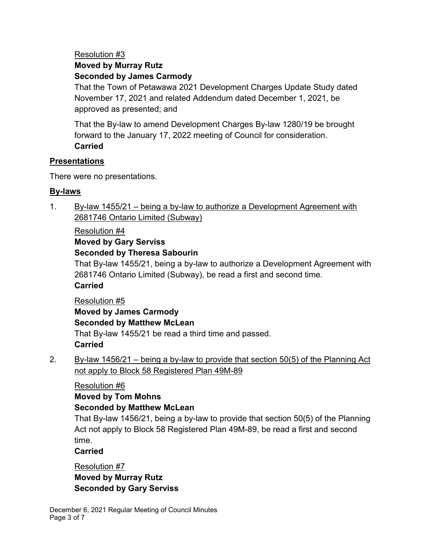## Resolution #3 **Moved by Murray Rutz Seconded by James Carmody**

That the Town of Petawawa 2021 Development Charges Update Study dated November 17, 2021 and related Addendum dated December 1, 2021, be approved as presented; and

That the By-law to amend Development Charges By-law 1280/19 be brought forward to the January 17, 2022 meeting of Council for consideration. **Carried**

### **Presentations**

There were no presentations.

## **By-laws**

1. By-law 1455/21 – being a by-law to authorize a Development Agreement with 2681746 Ontario Limited (Subway)

### Resolution #4

### **Moved by Gary Serviss Seconded by Theresa Sabourin**

That By-law 1455/21, being a by-law to authorize a Development Agreement with 2681746 Ontario Limited (Subway), be read a first and second time.

# **Carried**

# Resolution #5 **Moved by James Carmody Seconded by Matthew McLean** That By-law 1455/21 be read a third time and passed. **Carried**

2. By-law 1456/21 – being a by-law to provide that section  $50(5)$  of the Planning Act not apply to Block 58 Registered Plan 49M-89

# Resolution #6

## **Moved by Tom Mohns**

# **Seconded by Matthew McLean**

That By-law 1456/21, being a by-law to provide that section 50(5) of the Planning Act not apply to Block 58 Registered Plan 49M-89, be read a first and second time.

## **Carried**

Resolution #7 **Moved by Murray Rutz Seconded by Gary Serviss**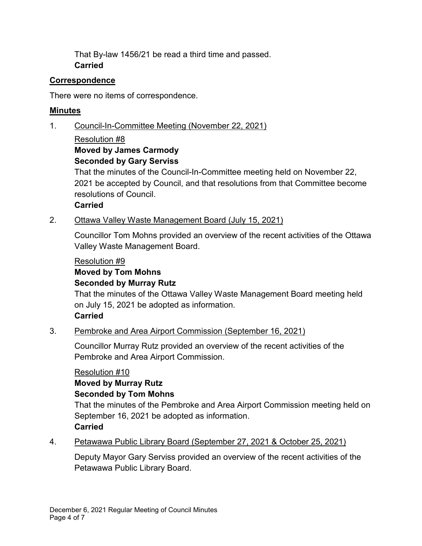That By-law 1456/21 be read a third time and passed. **Carried**

### **Correspondence**

There were no items of correspondence.

## **Minutes**

1. Council-In-Committee Meeting (November 22, 2021)

### Resolution #8 **Moved by James Carmody Seconded by Gary Serviss**

That the minutes of the Council-In-Committee meeting held on November 22, 2021 be accepted by Council, and that resolutions from that Committee become resolutions of Council.

**Carried**

## 2. Ottawa Valley Waste Management Board (July 15, 2021)

Councillor Tom Mohns provided an overview of the recent activities of the Ottawa Valley Waste Management Board.

### Resolution #9

# **Moved by Tom Mohns**

### **Seconded by Murray Rutz**

That the minutes of the Ottawa Valley Waste Management Board meeting held on July 15, 2021 be adopted as information. **Carried**

## 3. Pembroke and Area Airport Commission (September 16, 2021)

Councillor Murray Rutz provided an overview of the recent activities of the Pembroke and Area Airport Commission.

## Resolution #10

# **Moved by Murray Rutz**

## **Seconded by Tom Mohns**

That the minutes of the Pembroke and Area Airport Commission meeting held on September 16, 2021 be adopted as information. **Carried**

## 4. Petawawa Public Library Board (September 27, 2021 & October 25, 2021)

Deputy Mayor Gary Serviss provided an overview of the recent activities of the Petawawa Public Library Board.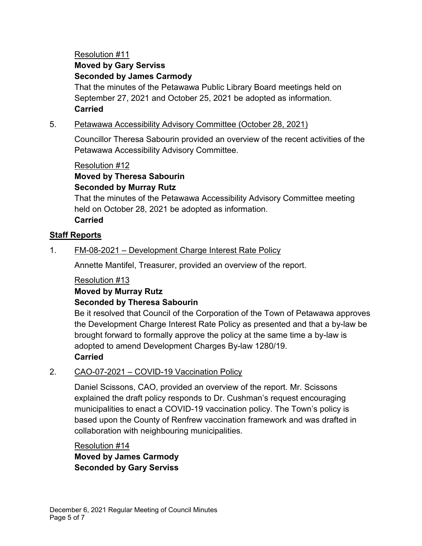## Resolution #11 **Moved by Gary Serviss Seconded by James Carmody**

That the minutes of the Petawawa Public Library Board meetings held on September 27, 2021 and October 25, 2021 be adopted as information. **Carried**

### 5. Petawawa Accessibility Advisory Committee (October 28, 2021)

Councillor Theresa Sabourin provided an overview of the recent activities of the Petawawa Accessibility Advisory Committee.

## Resolution #12 **Moved by Theresa Sabourin Seconded by Murray Rutz**

That the minutes of the Petawawa Accessibility Advisory Committee meeting held on October 28, 2021 be adopted as information. **Carried**

### **Staff Reports**

### 1. FM-08-2021 – Development Charge Interest Rate Policy

Annette Mantifel, Treasurer, provided an overview of the report.

### Resolution #13

### **Moved by Murray Rutz Seconded by Theresa Sabourin**

Be it resolved that Council of the Corporation of the Town of Petawawa approves the Development Charge Interest Rate Policy as presented and that a by-law be brought forward to formally approve the policy at the same time a by-law is adopted to amend Development Charges By-law 1280/19. **Carried**

### 2. CAO-07-2021 – COVID-19 Vaccination Policy

Daniel Scissons, CAO, provided an overview of the report. Mr. Scissons explained the draft policy responds to Dr. Cushman's request encouraging municipalities to enact a COVID-19 vaccination policy. The Town's policy is based upon the County of Renfrew vaccination framework and was drafted in collaboration with neighbouring municipalities.

## Resolution #14 **Moved by James Carmody Seconded by Gary Serviss**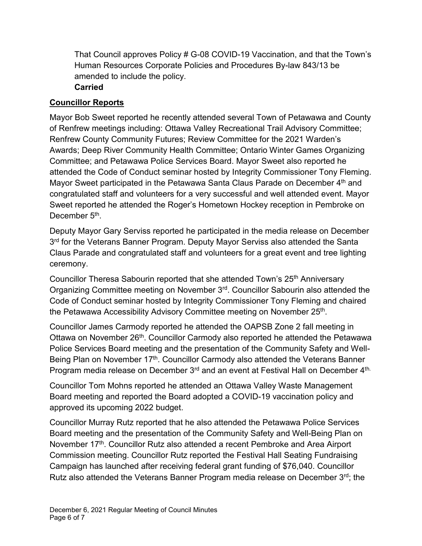That Council approves Policy # G-08 COVID-19 Vaccination, and that the Town's Human Resources Corporate Policies and Procedures By-law 843/13 be amended to include the policy.

### **Carried**

### **Councillor Reports**

Mayor Bob Sweet reported he recently attended several Town of Petawawa and County of Renfrew meetings including: Ottawa Valley Recreational Trail Advisory Committee; Renfrew County Community Futures; Review Committee for the 2021 Warden's Awards; Deep River Community Health Committee; Ontario Winter Games Organizing Committee; and Petawawa Police Services Board. Mayor Sweet also reported he attended the Code of Conduct seminar hosted by Integrity Commissioner Tony Fleming. Mayor Sweet participated in the Petawawa Santa Claus Parade on December 4<sup>th</sup> and congratulated staff and volunteers for a very successful and well attended event. Mayor Sweet reported he attended the Roger's Hometown Hockey reception in Pembroke on December 5<sup>th</sup>.

Deputy Mayor Gary Serviss reported he participated in the media release on December 3<sup>rd</sup> for the Veterans Banner Program. Deputy Mayor Serviss also attended the Santa Claus Parade and congratulated staff and volunteers for a great event and tree lighting ceremony.

Councillor Theresa Sabourin reported that she attended Town's 25<sup>th</sup> Anniversary Organizing Committee meeting on November 3rd. Councillor Sabourin also attended the Code of Conduct seminar hosted by Integrity Commissioner Tony Fleming and chaired the Petawawa Accessibility Advisory Committee meeting on November 25<sup>th</sup>.

Councillor James Carmody reported he attended the OAPSB Zone 2 fall meeting in Ottawa on November 26<sup>th</sup>. Councillor Carmody also reported he attended the Petawawa Police Services Board meeting and the presentation of the Community Safety and Well-Being Plan on November 17<sup>th</sup>. Councillor Carmody also attended the Veterans Banner Program media release on December 3<sup>rd</sup> and an event at Festival Hall on December 4<sup>th.</sup>

Councillor Tom Mohns reported he attended an Ottawa Valley Waste Management Board meeting and reported the Board adopted a COVID-19 vaccination policy and approved its upcoming 2022 budget.

Councillor Murray Rutz reported that he also attended the Petawawa Police Services Board meeting and the presentation of the Community Safety and Well-Being Plan on November 17<sup>th</sup>. Councillor Rutz also attended a recent Pembroke and Area Airport Commission meeting. Councillor Rutz reported the Festival Hall Seating Fundraising Campaign has launched after receiving federal grant funding of \$76,040. Councillor Rutz also attended the Veterans Banner Program media release on December 3rd; the